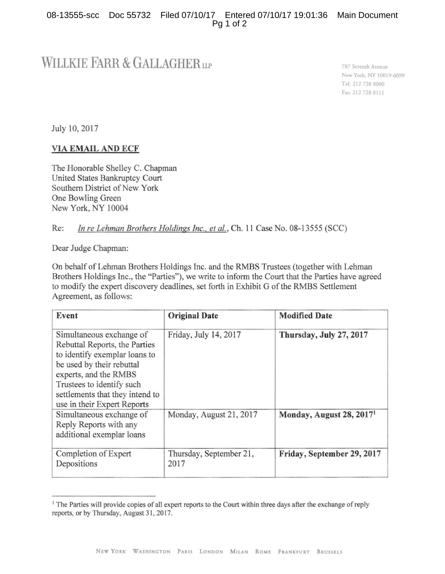## WILLKIE FARR & GALLAGHER

787 Sevcmh Avenue New York, NY 10019 6099 Tel: 212 728 8000 Fax. 212 728 8111

July 10, 2017

## VIA EMAIL AND ECF

The Honorable Shelley C. Chapman United States Bankruptcy Court Southern District of New York One Bowling Green New York, NY 10004

## Re: *In re Lehman Brothers Holdings Inc., et al., Ch.* 11 Case No. 08-13555 (SCC)

Dear Judge Chapman:

On behalf of Lehman Brothers Holdings Inc. and the RMBS Trustees (together with Lehman Brothers Holdings lnc., the "Parties"), we write to inform the Court that the Parties have agreed to modify the expert discovery deadlines, set forth in Exhibit G of the RMBS Settlement Agreement, as follows:

| Event                                                                                                                                                                                                                                           | <b>Original Date</b>            | <b>Modified Date</b>                 |
|-------------------------------------------------------------------------------------------------------------------------------------------------------------------------------------------------------------------------------------------------|---------------------------------|--------------------------------------|
| Simultaneous exchange of<br>Rebuttal Reports, the Parties<br>to identify exemplar loans to<br>be used by their rebuttal<br>experts, and the RMBS<br>Trustees to identify such<br>settlements that they intend to<br>use in their Expert Reports | Friday, July 14, 2017           | Thursday, July 27, 2017              |
| Simultaneous exchange of<br>Reply Reports with any<br>additional exemplar loans                                                                                                                                                                 | Monday, August 21, 2017         | Monday, August 28, 2017 <sup>1</sup> |
| Completion of Expert<br>Depositions                                                                                                                                                                                                             | Thursday, September 21,<br>2017 | Friday, September 29, 2017           |

<sup>&</sup>lt;sup>1</sup> The Parties will provide copies of all expert reports to the Court within three days after the exchange of reply reports, or by Thursday, August 31, 2017.